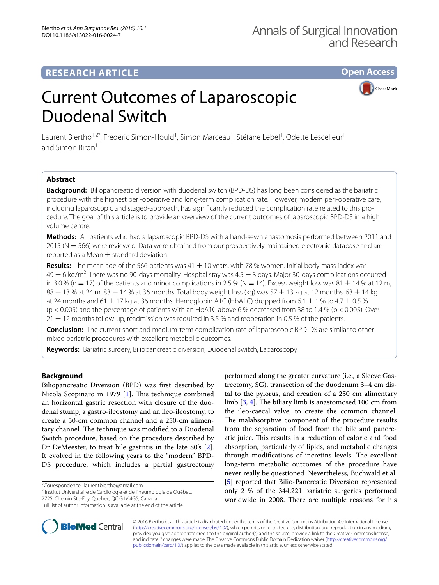# **RESEARCH ARTICLE**

**Open Access**

**CrossMark** 

# Current Outcomes of Laparoscopic Duodenal Switch

Laurent Biertho<sup>1,2\*</sup>, Frédéric Simon-Hould<sup>1</sup>, Simon Marceau<sup>1</sup>, Stéfane Lebel<sup>1</sup>, Odette Lescelleur<sup>1</sup> and Simon Biron<sup>1</sup>

## **Abstract**

**Background:** Biliopancreatic diversion with duodenal switch (BPD-DS) has long been considered as the bariatric procedure with the highest peri-operative and long-term complication rate. However, modern peri-operative care, including laparoscopic and staged-approach, has significantly reduced the complication rate related to this procedure. The goal of this article is to provide an overview of the current outcomes of laparoscopic BPD-DS in a high volume centre.

**Methods:** All patients who had a laparoscopic BPD-DS with a hand-sewn anastomosis performed between 2011 and 2015 (N = 566) were reviewed. Data were obtained from our prospectively maintained electronic database and are reported as a Mean  $\pm$  standard deviation.

Results: The mean age of the 566 patients was 41  $\pm$  10 years, with 78 % women. Initial body mass index was  $49 \pm 6$  kg/m<sup>2</sup>. There was no 90-days mortality. Hospital stay was  $4.5 \pm 3$  days. Major 30-days complications occurred in 3.0 % (n = 17) of the patients and minor complications in 2.5 % (N = 14). Excess weight loss was 81  $\pm$  14 % at 12 m,  $88 \pm 13$  % at 24 m,  $83 \pm 14$  % at 36 months. Total body weight loss (kg) was 57  $\pm$  13 kg at 12 months, 63  $\pm$  14 kg at 24 months and 61  $\pm$  17 kg at 36 months. Hemoglobin A1C (HbA1C) dropped from 6.1  $\pm$  1 % to 4.7  $\pm$  0.5 % (p < 0.005) and the percentage of patients with an HbA1C above 6 % decreased from 38 to 1.4 % (p < 0.005). Over  $21 \pm 12$  months follow-up, readmission was required in 3.5 % and reoperation in 0.5 % of the patients.

**Conclusion:** The current short and medium-term complication rate of laparoscopic BPD-DS are similar to other mixed bariatric procedures with excellent metabolic outcomes.

**Keywords:** Bariatric surgery, Biliopancreatic diversion, Duodenal switch, Laparoscopy

### **Background**

Biliopancreatic Diversion (BPD) was first described by Nicola Scopinaro in 1979 [\[1](#page-4-0)]. This technique combined an horizontal gastric resection with closure of the duodenal stump, a gastro-ileostomy and an ileo-ileostomy, to create a 50-cm common channel and a 250-cm alimentary channel. The technique was modified to a Duodenal Switch procedure, based on the procedure described by Dr DeMeester, to treat bile gastritis in the late 80's [\[2](#page-4-1)]. It evolved in the following years to the "modern" BPD-DS procedure, which includes a partial gastrectomy

\*Correspondence: laurentbiertho@gmail.com

<sup>2</sup> Institut Universitaire de Cardiologie et de Pneumologie de Québec,

2725, Chemin Ste‑Foy, Quebec, QC G1V 4G5, Canada





© 2016 Biertho et al. This article is distributed under the terms of the Creative Commons Attribution 4.0 International License [\(http://creativecommons.org/licenses/by/4.0/\)](http://creativecommons.org/licenses/by/4.0/), which permits unrestricted use, distribution, and reproduction in any medium, provided you give appropriate credit to the original author(s) and the source, provide a link to the Creative Commons license, and indicate if changes were made. The Creative Commons Public Domain Dedication waiver ([http://creativecommons.org/](http://creativecommons.org/publicdomain/zero/1.0/) [publicdomain/zero/1.0/](http://creativecommons.org/publicdomain/zero/1.0/)) applies to the data made available in this article, unless otherwise stated.

Full list of author information is available at the end of the article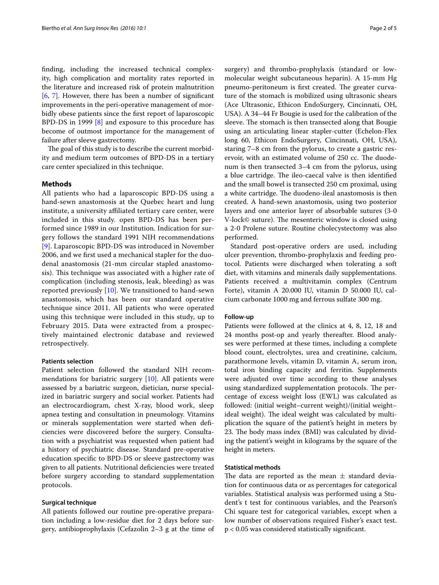finding, including the increased technical complexity, high complication and mortality rates reported in the literature and increased risk of protein malnutrition [[6,](#page-4-5) [7\]](#page-4-6). However, there has been a number of significant improvements in the peri-operative management of morbidly obese patients since the first report of laparoscopic BPD-DS in 1999 [[8\]](#page-4-7) and exposure to this procedure has become of outmost importance for the management of failure after sleeve gastrectomy.

The goal of this study is to describe the current morbidity and medium term outcomes of BPD-DS in a tertiary care center specialized in this technique.

#### **Methods**

All patients who had a laparoscopic BPD-DS using a hand-sewn anastomosis at the Quebec heart and lung institute, a university affiliated tertiary care center, were included in this study. open BPD-DS has been performed since 1989 in our Institution. Indication for surgery follows the standard 1991 NIH recommendations [[9](#page-4-8)]. Laparoscopic BPD-DS was introduced in November 2006, and we first used a mechanical stapler for the duodenal anastomosis (21-mm circular stapled anastomosis). This technique was associated with a higher rate of complication (including stenosis, leak, bleeding) as was reported previously [[10\]](#page-4-9). We transitioned to hand-sewn anastomosis, which has been our standard operative technique since 2011. All patients who were operated using this technique were included in this study, up to February 2015. Data were extracted from a prospectively maintained electronic database and reviewed retrospectively.

#### **Patients selection**

Patient selection followed the standard NIH recommendations for bariatric surgery [[10\]](#page-4-9). All patients were assessed by a bariatric surgeon, dietician, nurse specialized in bariatric surgery and social worker. Patients had an electrocardiogram, chest X-ray, blood work, sleep apnea testing and consultation in pneumology. Vitamins or minerals supplementation were started when deficiencies were discovered before the surgery. Consultation with a psychiatrist was requested when patient had a history of psychiatric disease. Standard pre-operative education specific to BPD-DS or sleeve gastrectomy was given to all patients. Nutritional deficiencies were treated before surgery according to standard supplementation protocols.

#### **Surgical technique**

All patients followed our routine pre-operative preparation including a low-residue diet for 2 days before surgery, antibioprophylaxis (Cefazolin 2–3 g at the time of

surgery) and thrombo-prophylaxis (standard or lowmolecular weight subcutaneous heparin). A 15-mm Hg pneumo-peritoneum is first created. The greater curvature of the stomach is mobilized using ultrasonic shears (Ace Ultrasonic, Ethicon EndoSurgery, Cincinnati, OH, USA). A 34–44 Fr Bougie is used for the calibration of the sleeve. The stomach is then transected along that Bougie using an articulating linear stapler-cutter (Echelon-Flex long 60, Ethicon EndoSurgery, Cincinnati, OH, USA), staring 7–8 cm from the pylorus, to create a gastric reservoir, with an estimated volume of 250 cc. The duodenum is then transected 3–4 cm from the pylorus, using a blue cartridge. The ileo-caecal valve is then identified and the small bowel is transected 250 cm proximal, using a white cartridge. The duodeno-ileal anastomosis is then created. A hand-sewn anastomosis, using two posterior layers and one anterior layer of absorbable sutures (3-0 V-lock© suture). The mesenteric window is closed using a 2-0 Prolene suture. Routine cholecystectomy was also performed.

Standard post-operative orders are used, including ulcer prevention, thrombo-prophylaxis and feeding protocol. Patients were discharged when tolerating a soft diet, with vitamins and minerals daily supplementations. Patients received a multivitamin complex (Centrum Forte), vitamin A 20.000 IU, vitamin D 50.000 IU, calcium carbonate 1000 mg and ferrous sulfate 300 mg.

#### **Follow‑up**

Patients were followed at the clinics at 4, 8, 12, 18 and 24 months post-op and yearly thereafter. Blood analyses were performed at these times, including a complete blood count, electrolytes, urea and creatinine, calcium, parathormone levels, vitamin D, vitamin A, serum iron, total iron binding capacity and ferritin. Supplements were adjusted over time according to these analyses using standardized supplementation protocols. The percentage of excess weight loss (EWL) was calculated as followed: (initial weight–current weight)/(initial weight– ideal weight). The ideal weight was calculated by multiplication the square of the patient's height in meters by 23. The body mass index (BMI) was calculated by dividing the patient's weight in kilograms by the square of the height in meters.

#### **Statistical methods**

The data are reported as the mean  $\pm$  standard deviation for continuous data or as percentages for categorical variables. Statistical analysis was performed using a Student's t test for continuous variables, and the Pearson's Chi square test for categorical variables, except when a low number of observations required Fisher's exact test. p < 0.05 was considered statistically significant.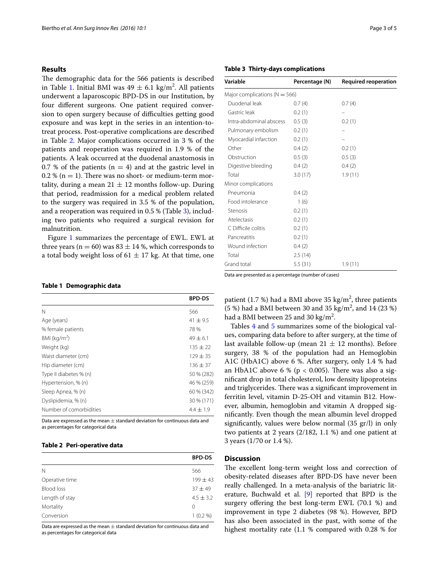#### **Results**

The demographic data for the 566 patients is described in Table [1.](#page-2-0) Initial BMI was  $49 \pm 6.1$  kg/m<sup>2</sup>. All patients underwent a laparoscopic BPD-DS in our Institution, by four different surgeons. One patient required conversion to open surgery because of difficulties getting good exposure and was kept in the series in an intention-totreat process. Post-operative complications are described in Table [2](#page-2-1). Major complications occurred in 3 % of the patients and reoperation was required in 1.9 % of the patients. A leak occurred at the duodenal anastomosis in 0.7 % of the patients ( $n = 4$ ) and at the gastric level in  $0.2\%$  (n = 1). There was no short- or medium-term mortality, during a mean  $21 \pm 12$  months follow-up. During that period, readmission for a medical problem related to the surgery was required in 3.5 % of the population, and a reoperation was required in 0.5 % (Table [3\)](#page-2-2), including two patients who required a surgical revision for malnutrition.

Figure [1](#page-3-0) summarizes the percentage of EWL. EWL at three years ( $n = 60$ ) was 83  $\pm$  14 %, which corresponds to a total body weight loss of  $61 \pm 17$  kg. At that time, one

#### <span id="page-2-0"></span>**Table 1 Demographic data**

|                         | <b>BPD-DS</b> |
|-------------------------|---------------|
| N                       | 566           |
| Age (years)             | $41 \pm 9.5$  |
| % female patients       | 78%           |
| BMI ( $kg/m2$ )         | $49 \pm 6.1$  |
| Weight (kg)             | $135 \pm 22$  |
| Waist diameter (cm)     | $129 \pm 35$  |
| Hip diameter (cm)       | $136 \pm 37$  |
| Type II diabetes % (n)  | 50 % (282)    |
| Hypertension, % (n)     | 46 % (259)    |
| Sleep Apnea, % (n)      | 60 % (342)    |
| Dyslipidemia, % (n)     | 30 % (171)    |
| Number of comorbidities | $4.4 \pm 1.9$ |

Data are expressed as the mean  $\pm$  standard deviation for continuous data and as percentages for categorical data

#### <span id="page-2-1"></span>**Table 2 Peri-operative data**

| <b>BPD-DS</b> |
|---------------|
| 566           |
| $199 \pm 43$  |
| $37 + 49$     |
| $4.5 \pm 3.2$ |
| 0             |
| $1(0.2\%)$    |
|               |

Data are expressed as the mean  $\pm$  standard deviation for continuous data and as percentages for categorical data

#### <span id="page-2-2"></span>**Table 3 Thirty-days complications**

| Variable                          | Percentage (N) | <b>Required reoperation</b> |
|-----------------------------------|----------------|-----------------------------|
| Major complications ( $N = 566$ ) |                |                             |
| Duodenal leak                     | 0.7(4)         | 0.7(4)                      |
| Gastric leak                      | 0.2(1)         |                             |
| Intra-abdominal abscess           | 0.5(3)         | 0.2(1)                      |
| Pulmonary embolism                | 0.2(1)         |                             |
| Myocardial infarction             | 0.2(1)         |                             |
| Other                             | 0.4(2)         | 0.2(1)                      |
| Obstruction                       | 0.5(3)         | 0.5(3)                      |
| Digestive bleeding                | 0.4(2)         | 0.4(2)                      |
| Total                             | 3.0(17)        | 1.9(11)                     |
| Minor complications               |                |                             |
| Pneumonia                         | 0.4(2)         |                             |
| Food intolerance                  | 1(6)           |                             |
| Stenosis                          | 0.2(1)         |                             |
| Atelectasis                       | 0.2(1)         |                             |
| C Difficile colitis               | 0.2(1)         |                             |
| Pancreatitis                      | 0.2(1)         |                             |
| Wound infection                   | 0.4(2)         |                             |
| Total                             | 2.5(14)        |                             |
| Grand total                       | 5.5(31)        | 1.9(11)                     |

Data are presented as a percentage (number of cases)

patient (1.7 %) had a BMI above 35  $\text{kg/m}^2$ , three patients (5 %) had a BMI between 30 and 35 kg/m<sup>2</sup>, and 14 (23 %) had a BMI between 25 and 30 kg/m<sup>2</sup>.

Tables [4](#page-3-1) and [5](#page-3-2) summarizes some of the biological values, comparing data before to after surgery, at the time of last available follow-up (mean  $21 \pm 12$  months). Before surgery, 38 % of the population had an Hemoglobin A1C (HbA1C) above 6 %. After surgery, only 1.4 % had an HbA1C above 6 % ( $p < 0.005$ ). There was also a significant drop in total cholesterol, low density lipoproteins and triglycerides. There was a significant improvement in ferritin level, vitamin D-25-OH and vitamin B12. However, albumin, hemoglobin and vitamin A dropped significantly. Even though the mean albumin level dropped significantly, values were below normal (35 gr/l) in only two patients at 2 years (2/182, 1.1 %) and one patient at 3 years (1/70 or 1.4 %).

#### **Discussion**

The excellent long-term weight loss and correction of obesity-related diseases after BPD-DS have never been really challenged. In a meta-analysis of the bariatric literature, Buchwald et al. [\[9\]](#page-4-8) reported that BPD is the surgery offering the best long-term EWL (70.1 %) and improvement in type 2 diabetes (98 %). However, BPD has also been associated in the past, with some of the highest mortality rate (1.1 % compared with 0.28 % for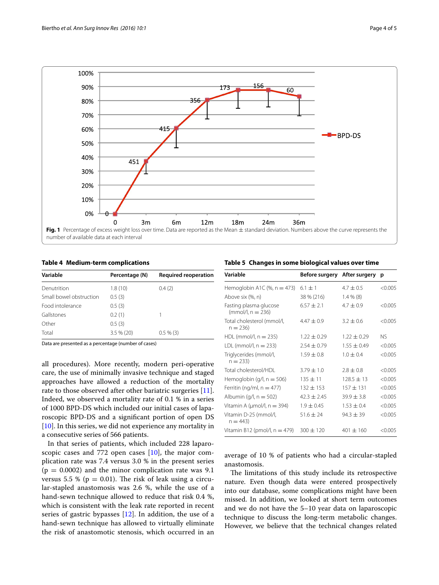

<span id="page-3-1"></span><span id="page-3-0"></span>**Table 4 Medium-term complications**

| Variable                | Percentage (N) | <b>Required reoperation</b> |
|-------------------------|----------------|-----------------------------|
| Denutrition             | 1.8(10)        | 0.4(2)                      |
| Small bowel obstruction | 0.5(3)         |                             |
| Food intolerance        | 0.5(3)         |                             |
| Gallstones              | 0.2(1)         |                             |
| Other                   | 0.5(3)         |                             |
| Total                   | $3.5%$ (20)    | $0.5 \% (3)$                |
|                         |                |                             |

Data are presented as a percentage (number of cases)

all procedures). More recently, modern peri-operative care, the use of minimally invasive technique and staged approaches have allowed a reduction of the mortality rate to those observed after other bariatric surgeries [\[11](#page-4-10)]. Indeed, we observed a mortality rate of 0.1 % in a series of 1000 BPD-DS which included our initial cases of laparoscopic BPD-DS and a significant portion of open DS [[10\]](#page-4-9). In this series, we did not experience any mortality in a consecutive series of 566 patients.

In that series of patients, which included 228 laparoscopic cases and 772 open cases  $[10]$  $[10]$ , the major complication rate was 7.4 versus 3.0 % in the present series  $(p = 0.0002)$  and the minor complication rate was 9.1 versus 5.5 % ( $p = 0.01$ ). The risk of leak using a circular-stapled anastomosis was 2.6 %, while the use of a hand-sewn technique allowed to reduce that risk 0.4 %, which is consistent with the leak rate reported in recent series of gastric bypasses [[12\]](#page-4-11). In addition, the use of a hand-sewn technique has allowed to virtually eliminate the risk of anastomotic stenosis, which occurred in an

<span id="page-3-2"></span>**Table 5 Changes in some biological values over time**

| Variable                                      | Before surgery After surgery p |                 |           |
|-----------------------------------------------|--------------------------------|-----------------|-----------|
| Hemoglobin A1C $(\% , n = 473)$               | $6.1 \pm 1$                    | $4.7 \pm 0.5$   | < 0.005   |
| Above six (%, n)                              | 38 % (216)                     | $1.4\%$ (8)     |           |
| Fasting plasma glucose<br>$(mmol/l, n = 236)$ | $6.57 + 2.1$                   | $4.7 + 0.9$     | < 0.005   |
| Total cholesterol (mmol/l,<br>$n = 236$       | $4.47 + 0.9$                   | $3.2 + 0.6$     | < 0.005   |
| $HDL$ (mmol/l, $n = 235$ )                    | $1.22 \pm 0.29$                | $1.22 \pm 0.29$ | <b>NS</b> |
| $LDL$ (mmol/l, $n = 233$ )                    | $2.54 \pm 0.79$                | $1.55 \pm 0.49$ | < 0.005   |
| Triglycerides (mmol/l,<br>$n = 233$           | $1.59 \pm 0.8$                 | $1.0 + 0.4$     | < 0.005   |
| Total cholesterol/HDL                         | $3.79 \pm 1.0$                 | $2.8 + 0.8$     | < 0.005   |
| Hemoglobin (g/l, $n = 506$ )                  | $135 \pm 11$                   | $128.5 \pm 13$  | < 0.005   |
| Ferritin (ng/ml, $n = 477$ )                  | $132 + 153$                    | $157 + 131$     | < 0.005   |
| Albumin $(q/l, n = 502)$                      | $42.3 \pm 2.45$                | $39.9 \pm 3.8$  | < 0.005   |
| Vitamin A ( $\mu$ mol/l, n = 394)             | $1.9 \pm 0.45$                 | $1.53 + 0.4$    | < 0.005   |
| Vitamin D-25 (mmol/l,<br>$n = 443$            | $51.6 \pm 24$                  | $94.3 \pm 39$   | < 0.005   |
| Vitamin B12 (pmol/l, $n = 479$ )              | $300 \pm 120$                  | $401 + 160$     | < 0.005   |

average of 10 % of patients who had a circular-stapled anastomosis.

The limitations of this study include its retrospective nature. Even though data were entered prospectively into our database, some complications might have been missed. In addition, we looked at short term outcomes and we do not have the 5–10 year data on laparoscopic technique to discuss the long-term metabolic changes. However, we believe that the technical changes related